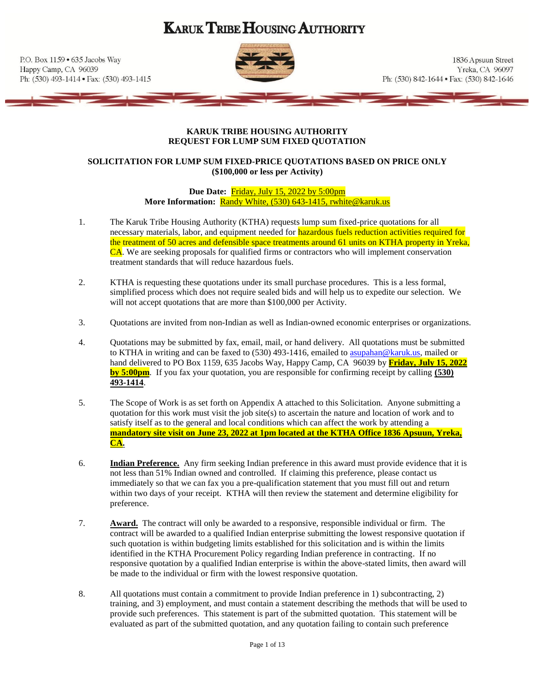# **KARUK TRIBE HOUSING AUTHORITY**

P.O. Box 1159 . 635 Jacobs Way Happy Camp, CA 96039 Ph: (530) 493-1414 · Fax: (530) 493-1415



1836 Apsuun Street Yreka, CA 96097 Ph: (530) 842-1644 • Fax: (530) 842-1646

#### **KARUK TRIBE HOUSING AUTHORITY REQUEST FOR LUMP SUM FIXED QUOTATION**

# **SOLICITATION FOR LUMP SUM FIXED-PRICE QUOTATIONS BASED ON PRICE ONLY (\$100,000 or less per Activity)**

**Due Date: Friday, July 15, 2022 by 5:00pm More Information:** Randy White, (530) 643-1415, rwhite@karuk.us

- 1. The Karuk Tribe Housing Authority (KTHA) requests lump sum fixed-price quotations for all necessary materials, labor, and equipment needed for **hazardous fuels reduction activities required for** the treatment of 50 acres and defensible space treatments around 61 units on KTHA property in Yreka, CA. We are seeking proposals for qualified firms or contractors who will implement conservation treatment standards that will reduce hazardous fuels.
- 2. KTHA is requesting these quotations under its small purchase procedures. This is a less formal, simplified process which does not require sealed bids and will help us to expedite our selection. We will not accept quotations that are more than \$100,000 per Activity.
- 3. Quotations are invited from non-Indian as well as Indian-owned economic enterprises or organizations.
- 4. Quotations may be submitted by fax, email, mail, or hand delivery. All quotations must be submitted to KTHA in writing and can be faxed to  $(530)$  493-1416, emailed to [asupahan@karuk.us,](mailto:asupahan@karuk.us) mailed or hand delivered to PO Box 1159, 635 Jacobs Way, Happy Camp, CA 96039 by **Friday, July 15, 2022 by 5:00pm**. If you fax your quotation, you are responsible for confirming receipt by calling **(530) 493-1414**.
- 5. The Scope of Work is as set forth on Appendix A attached to this Solicitation. Anyone submitting a quotation for this work must visit the job site(s) to ascertain the nature and location of work and to satisfy itself as to the general and local conditions which can affect the work by attending a **mandatory site visit on June 23, 2022 at 1pm located at the KTHA Office 1836 Apsuun, Yreka, CA.**
- 6. **Indian Preference.** Any firm seeking Indian preference in this award must provide evidence that it is not less than 51% Indian owned and controlled. If claiming this preference, please contact us immediately so that we can fax you a pre-qualification statement that you must fill out and return within two days of your receipt. KTHA will then review the statement and determine eligibility for preference.
- 7. **Award.** The contract will only be awarded to a responsive, responsible individual or firm. The contract will be awarded to a qualified Indian enterprise submitting the lowest responsive quotation if such quotation is within budgeting limits established for this solicitation and is within the limits identified in the KTHA Procurement Policy regarding Indian preference in contracting. If no responsive quotation by a qualified Indian enterprise is within the above-stated limits, then award will be made to the individual or firm with the lowest responsive quotation.
- 8. All quotations must contain a commitment to provide Indian preference in 1) subcontracting, 2) training, and 3) employment, and must contain a statement describing the methods that will be used to provide such preferences. This statement is part of the submitted quotation. This statement will be evaluated as part of the submitted quotation, and any quotation failing to contain such preference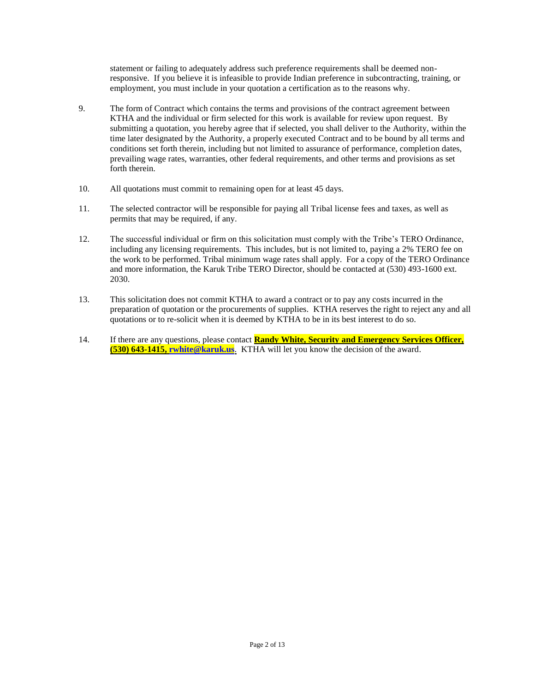statement or failing to adequately address such preference requirements shall be deemed nonresponsive. If you believe it is infeasible to provide Indian preference in subcontracting, training, or employment, you must include in your quotation a certification as to the reasons why.

- 9. The form of Contract which contains the terms and provisions of the contract agreement between KTHA and the individual or firm selected for this work is available for review upon request. By submitting a quotation, you hereby agree that if selected, you shall deliver to the Authority, within the time later designated by the Authority, a properly executed Contract and to be bound by all terms and conditions set forth therein, including but not limited to assurance of performance, completion dates, prevailing wage rates, warranties, other federal requirements, and other terms and provisions as set forth therein.
- 10. All quotations must commit to remaining open for at least 45 days.
- 11. The selected contractor will be responsible for paying all Tribal license fees and taxes, as well as permits that may be required, if any.
- 12. The successful individual or firm on this solicitation must comply with the Tribe's TERO Ordinance, including any licensing requirements. This includes, but is not limited to, paying a 2% TERO fee on the work to be performed. Tribal minimum wage rates shall apply. For a copy of the TERO Ordinance and more information, the Karuk Tribe TERO Director, should be contacted at (530) 493-1600 ext. 2030.
- 13. This solicitation does not commit KTHA to award a contract or to pay any costs incurred in the preparation of quotation or the procurements of supplies. KTHA reserves the right to reject any and all quotations or to re-solicit when it is deemed by KTHA to be in its best interest to do so.
- 14. If there are any questions, please contact **Randy White, Security and Emergency Services Officer, (530) 643-1415[, rwhite@karuk.us](mailto:rwhite@karuk.us)**. KTHA will let you know the decision of the award.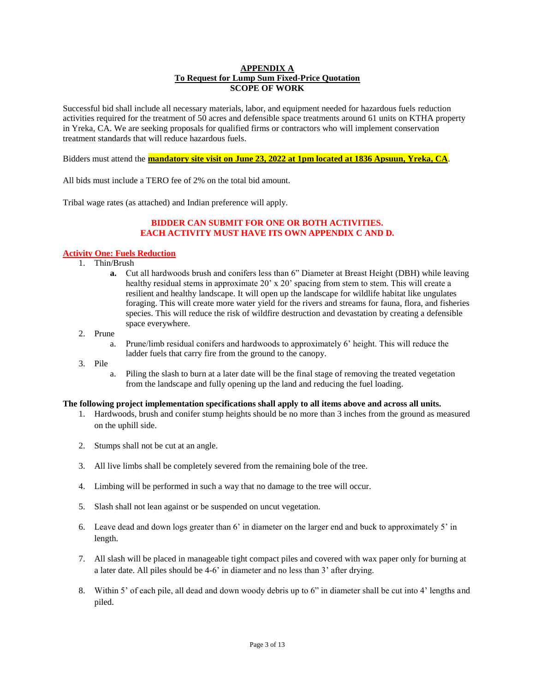#### **APPENDIX A To Request for Lump Sum Fixed-Price Quotation SCOPE OF WORK**

Successful bid shall include all necessary materials, labor, and equipment needed for hazardous fuels reduction activities required for the treatment of 50 acres and defensible space treatments around 61 units on KTHA property in Yreka, CA. We are seeking proposals for qualified firms or contractors who will implement conservation treatment standards that will reduce hazardous fuels.

Bidders must attend the **mandatory site visit on June 23, 2022 at 1pm located at 1836 Apsuun, Yreka, CA**.

All bids must include a TERO fee of 2% on the total bid amount.

Tribal wage rates (as attached) and Indian preference will apply.

### **BIDDER CAN SUBMIT FOR ONE OR BOTH ACTIVITIES. EACH ACTIVITY MUST HAVE ITS OWN APPENDIX C AND D.**

#### **Activity One: Fuels Reduction**

- 1. Thin/Brush
	- **a.** Cut all hardwoods brush and conifers less than 6" Diameter at Breast Height (DBH) while leaving healthy residual stems in approximate 20' x 20' spacing from stem to stem. This will create a resilient and healthy landscape. It will open up the landscape for wildlife habitat like ungulates foraging. This will create more water yield for the rivers and streams for fauna, flora, and fisheries species. This will reduce the risk of wildfire destruction and devastation by creating a defensible space everywhere.
- 2. Prune
	- a. Prune/limb residual conifers and hardwoods to approximately 6' height. This will reduce the ladder fuels that carry fire from the ground to the canopy.
- 3. Pile
	- a. Piling the slash to burn at a later date will be the final stage of removing the treated vegetation from the landscape and fully opening up the land and reducing the fuel loading.

#### **The following project implementation specifications shall apply to all items above and across all units.**

- 1. Hardwoods, brush and conifer stump heights should be no more than 3 inches from the ground as measured on the uphill side.
- 2. Stumps shall not be cut at an angle.
- 3. All live limbs shall be completely severed from the remaining bole of the tree.
- 4. Limbing will be performed in such a way that no damage to the tree will occur.
- 5. Slash shall not lean against or be suspended on uncut vegetation.
- 6. Leave dead and down logs greater than 6' in diameter on the larger end and buck to approximately 5' in length.
- 7. All slash will be placed in manageable tight compact piles and covered with wax paper only for burning at a later date. All piles should be 4-6' in diameter and no less than 3' after drying.
- 8. Within 5' of each pile, all dead and down woody debris up to 6" in diameter shall be cut into 4' lengths and piled.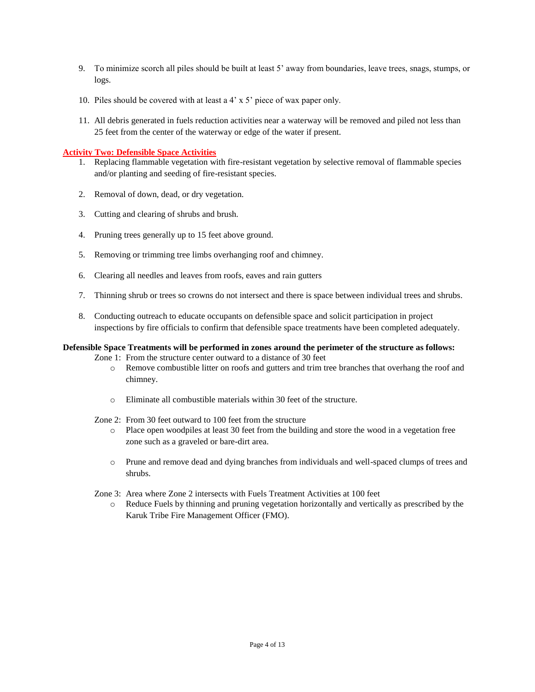- 9. To minimize scorch all piles should be built at least 5' away from boundaries, leave trees, snags, stumps, or logs.
- 10. Piles should be covered with at least a 4' x 5' piece of wax paper only.
- 11. All debris generated in fuels reduction activities near a waterway will be removed and piled not less than 25 feet from the center of the waterway or edge of the water if present.

#### **Activity Two: Defensible Space Activities**

- 1. Replacing flammable vegetation with fire-resistant vegetation by selective removal of flammable species and/or planting and seeding of fire-resistant species.
- 2. Removal of down, dead, or dry vegetation.
- 3. Cutting and clearing of shrubs and brush.
- 4. Pruning trees generally up to 15 feet above ground.
- 5. Removing or trimming tree limbs overhanging roof and chimney.
- 6. Clearing all needles and leaves from roofs, eaves and rain gutters
- 7. Thinning shrub or trees so crowns do not intersect and there is space between individual trees and shrubs.
- 8. Conducting outreach to educate occupants on defensible space and solicit participation in project inspections by fire officials to confirm that defensible space treatments have been completed adequately.

# **Defensible Space Treatments will be performed in zones around the perimeter of the structure as follows:**

- Zone 1: From the structure center outward to a distance of 30 feet
	- o Remove combustible litter on roofs and gutters and trim tree branches that overhang the roof and chimney.
	- o Eliminate all combustible materials within 30 feet of the structure.
- Zone 2: From 30 feet outward to 100 feet from the structure
	- o Place open woodpiles at least 30 feet from the building and store the wood in a vegetation free zone such as a graveled or bare-dirt area.
	- o Prune and remove dead and dying branches from individuals and well-spaced clumps of trees and shrubs.
- Zone 3: Area where Zone 2 intersects with Fuels Treatment Activities at 100 feet
	- o Reduce Fuels by thinning and pruning vegetation horizontally and vertically as prescribed by the Karuk Tribe Fire Management Officer (FMO).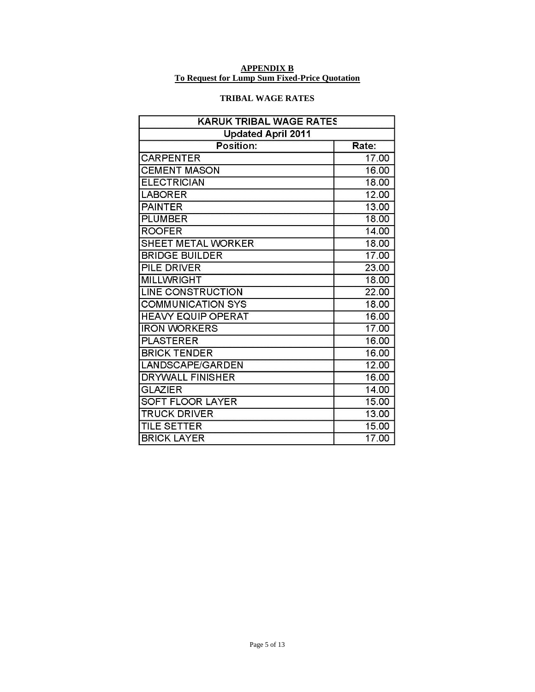#### **APPENDIX B To Request for Lump Sum Fixed-Price Quotation**

# **TRIBAL WAGE RATES**

| KARUK TRIBAL WAGE RATES   |       |
|---------------------------|-------|
| <b>Updated April 2011</b> |       |
| Position:                 | Rate: |
| <b>CARPENTER</b>          | 17.00 |
| <b>CEMENT MASON</b>       | 16.00 |
| <b>ELECTRICIAN</b>        | 18.00 |
| <b>LABORER</b>            | 12.00 |
| <b>PAINTER</b>            | 13.00 |
| <b>PLUMBER</b>            | 18.00 |
| <b>ROOFER</b>             | 14.00 |
| <b>SHEET METAL WORKER</b> | 18.00 |
| <b>BRIDGE BUILDER</b>     | 17.00 |
| <b>PILE DRIVER</b>        | 23.00 |
| <b>MILLWRIGHT</b>         | 18.00 |
| <b>LINE CONSTRUCTION</b>  | 22.00 |
| <b>COMMUNICATION SYS</b>  | 18.00 |
| <b>HEAVY EQUIP OPERAT</b> | 16.00 |
| <b>IRON WORKERS</b>       | 17.00 |
| <b>PLASTERER</b>          | 16.00 |
| <b>BRICK TENDER</b>       | 16.00 |
| LANDSCAPE/GARDEN          | 12.00 |
| <b>DRYWALL FINISHER</b>   | 16.00 |
| <b>GLAZIER</b>            | 14.00 |
| <b>SOFT FLOOR LAYER</b>   | 15.00 |
| <b>TRUCK DRIVER</b>       | 13.00 |
| <b>TILE SETTER</b>        | 15.00 |
| <b>BRICK LAYER</b>        | 17.00 |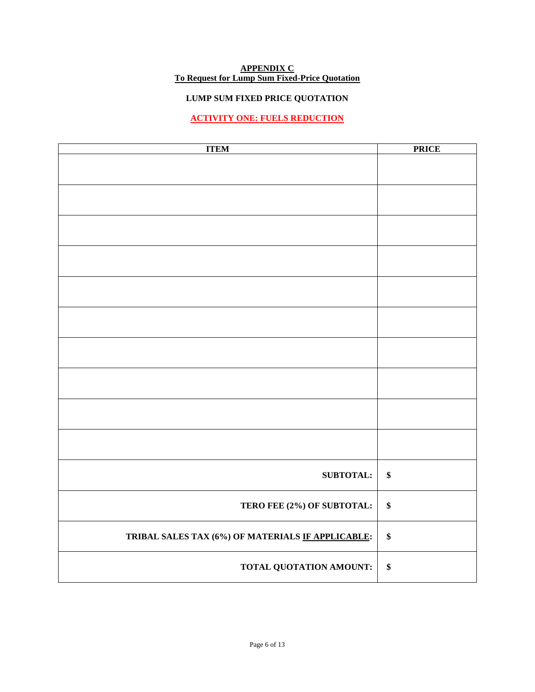#### **APPENDIX C To Request for Lump Sum Fixed-Price Quotation**

# **LUMP SUM FIXED PRICE QUOTATION**

# **ACTIVITY ONE: FUELS REDUCTION**

| <b>ITEM</b>                                       | <b>PRICE</b> |
|---------------------------------------------------|--------------|
|                                                   |              |
|                                                   |              |
|                                                   |              |
|                                                   |              |
|                                                   |              |
|                                                   |              |
|                                                   |              |
|                                                   |              |
|                                                   |              |
|                                                   |              |
|                                                   |              |
|                                                   |              |
|                                                   |              |
|                                                   |              |
|                                                   |              |
|                                                   |              |
| <b>SUBTOTAL:</b>                                  | $\pmb{\$}$   |
| TERO FEE (2%) OF SUBTOTAL:                        | \$           |
| TRIBAL SALES TAX (6%) OF MATERIALS IF APPLICABLE: | \$           |
| TOTAL QUOTATION AMOUNT:                           | \$           |
|                                                   |              |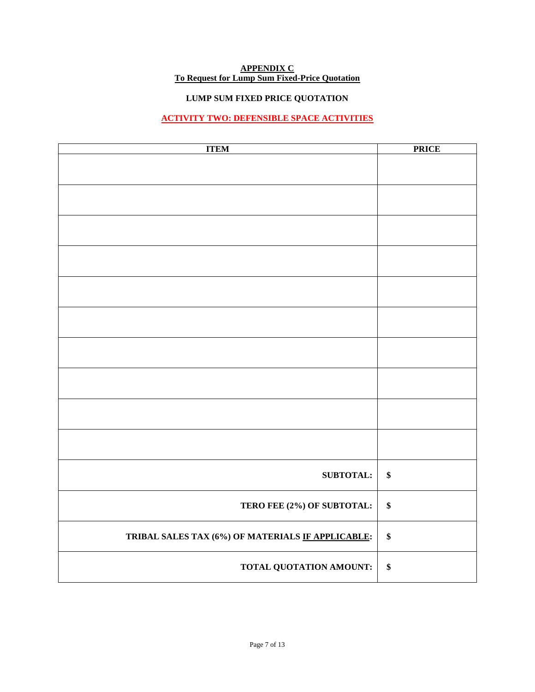#### **APPENDIX C To Request for Lump Sum Fixed-Price Quotation**

# **LUMP SUM FIXED PRICE QUOTATION**

# **ACTIVITY TWO: DEFENSIBLE SPACE ACTIVITIES**

| <b>ITEM</b>                                       | <b>PRICE</b> |
|---------------------------------------------------|--------------|
|                                                   |              |
|                                                   |              |
|                                                   |              |
|                                                   |              |
|                                                   |              |
|                                                   |              |
|                                                   |              |
|                                                   |              |
|                                                   |              |
|                                                   |              |
|                                                   |              |
|                                                   |              |
|                                                   |              |
|                                                   |              |
|                                                   |              |
|                                                   |              |
|                                                   |              |
|                                                   |              |
|                                                   |              |
|                                                   |              |
| <b>SUBTOTAL:</b>                                  | $\pmb{\$}$   |
|                                                   |              |
| TERO FEE (2%) OF SUBTOTAL:                        | \$           |
|                                                   |              |
| TRIBAL SALES TAX (6%) OF MATERIALS IF APPLICABLE: | \$           |
|                                                   |              |
| TOTAL QUOTATION AMOUNT:                           | \$           |
|                                                   |              |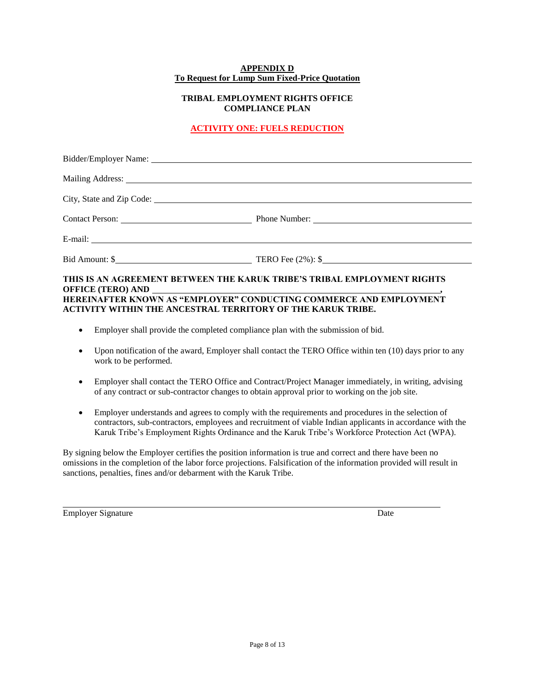#### **APPENDIX D To Request for Lump Sum Fixed-Price Quotation**

# **TRIBAL EMPLOYMENT RIGHTS OFFICE COMPLIANCE PLAN**

# **ACTIVITY ONE: FUELS REDUCTION**

|                          | Contact Person: <u>Contact Person:</u> Phone Number: 2008 Phone Number: 2008 Phone Number: 2008 Phone Number: 2008 Phone Number: 2008 Phone Number: 2008 Phone Number: 2008 Phone Number: 2008 Phone Number: 2008 Phone Number: 200 |
|--------------------------|-------------------------------------------------------------------------------------------------------------------------------------------------------------------------------------------------------------------------------------|
|                          |                                                                                                                                                                                                                                     |
|                          | Bid Amount: \$                                                                                                                                                                                                                      |
| <b>OFFICE (TERO) AND</b> | THIS IS AN AGREEMENT BETWEEN THE KARUK TRIBE'S TRIBAL EMPLOYMENT RIGHTS                                                                                                                                                             |

# **HEREINAFTER KNOWN AS "EMPLOYER" CONDUCTING COMMERCE AND EMPLOYMENT ACTIVITY WITHIN THE ANCESTRAL TERRITORY OF THE KARUK TRIBE.**

- Employer shall provide the completed compliance plan with the submission of bid.
- Upon notification of the award, Employer shall contact the TERO Office within ten (10) days prior to any work to be performed.
- Employer shall contact the TERO Office and Contract/Project Manager immediately, in writing, advising of any contract or sub-contractor changes to obtain approval prior to working on the job site.
- Employer understands and agrees to comply with the requirements and procedures in the selection of contractors, sub-contractors, employees and recruitment of viable Indian applicants in accordance with the Karuk Tribe's Employment Rights Ordinance and the Karuk Tribe's Workforce Protection Act (WPA).

By signing below the Employer certifies the position information is true and correct and there have been no omissions in the completion of the labor force projections. Falsification of the information provided will result in sanctions, penalties, fines and/or debarment with the Karuk Tribe.

Employer Signature Date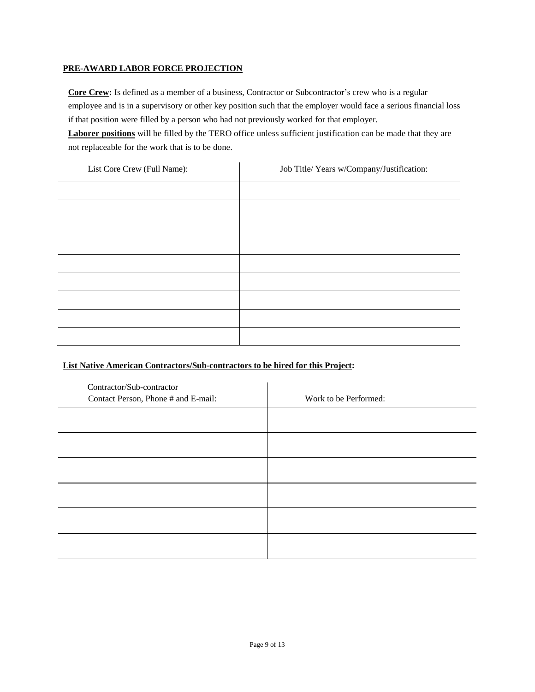## **PRE-AWARD LABOR FORCE PROJECTION**

**Core Crew:** Is defined as a member of a business, Contractor or Subcontractor's crew who is a regular employee and is in a supervisory or other key position such that the employer would face a serious financial loss if that position were filled by a person who had not previously worked for that employer.

**Laborer positions** will be filled by the TERO office unless sufficient justification can be made that they are not replaceable for the work that is to be done.

| List Core Crew (Full Name): | Job Title/ Years w/Company/Justification: |
|-----------------------------|-------------------------------------------|
|                             |                                           |
|                             |                                           |
|                             |                                           |
|                             |                                           |
|                             |                                           |
|                             |                                           |
|                             |                                           |
|                             |                                           |
|                             |                                           |

# **List Native American Contractors/Sub-contractors to be hired for this Project:**

| Contractor/Sub-contractor<br>Contact Person, Phone # and E-mail: | Work to be Performed: |
|------------------------------------------------------------------|-----------------------|
|                                                                  |                       |
|                                                                  |                       |
|                                                                  |                       |
|                                                                  |                       |
|                                                                  |                       |
|                                                                  |                       |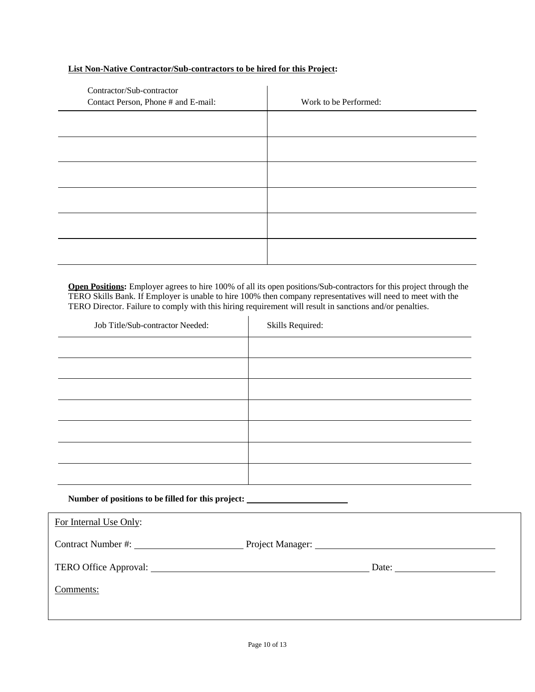### **List Non-Native Contractor/Sub-contractors to be hired for this Project:**

| Contractor/Sub-contractor<br>Contact Person, Phone # and E-mail: | Work to be Performed: |
|------------------------------------------------------------------|-----------------------|
|                                                                  |                       |
|                                                                  |                       |
|                                                                  |                       |
|                                                                  |                       |
|                                                                  |                       |
|                                                                  |                       |

**Open Positions:** Employer agrees to hire 100% of all its open positions/Sub-contractors for this project through the TERO Skills Bank. If Employer is unable to hire 100% then company representatives will need to meet with the TERO Director. Failure to comply with this hiring requirement will result in sanctions and/or penalties.

| Job Title/Sub-contractor Needed:                                                  | Skills Required: |
|-----------------------------------------------------------------------------------|------------------|
|                                                                                   |                  |
|                                                                                   |                  |
|                                                                                   |                  |
|                                                                                   |                  |
|                                                                                   |                  |
|                                                                                   |                  |
|                                                                                   |                  |
| Number of positions to be filled for this project: ______________________________ |                  |

Г

| For Internal Use Only: |       |  |
|------------------------|-------|--|
| Contract Number #:     |       |  |
|                        | Date: |  |
| Comments:              |       |  |
|                        |       |  |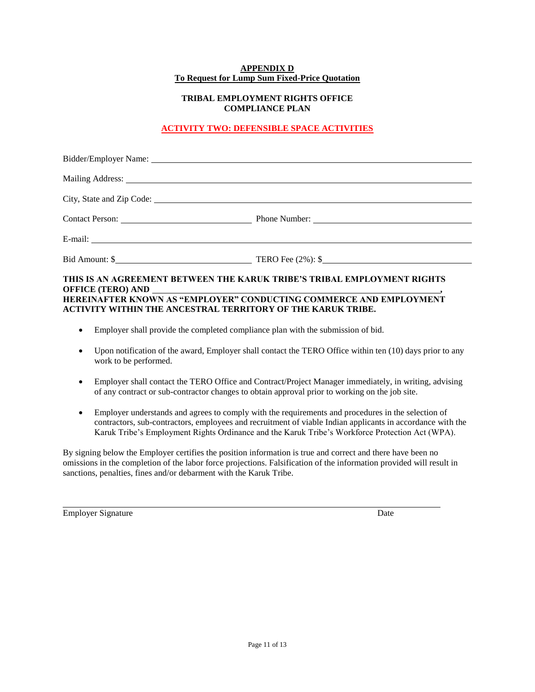#### **APPENDIX D To Request for Lump Sum Fixed-Price Quotation**

# **TRIBAL EMPLOYMENT RIGHTS OFFICE COMPLIANCE PLAN**

# **ACTIVITY TWO: DEFENSIBLE SPACE ACTIVITIES**

| Bid Amount: \$                                                          |
|-------------------------------------------------------------------------|
| THIS IS AN AGREEMENT BETWEEN THE KARUK TRIBE'S TRIBAL EMPLOYMENT RIGHTS |

# **HEREINAFTER KNOWN AS "EMPLOYER" CONDUCTING COMMERCE AND EMPLOYMENT ACTIVITY WITHIN THE ANCESTRAL TERRITORY OF THE KARUK TRIBE.**

- Employer shall provide the completed compliance plan with the submission of bid.
- Upon notification of the award, Employer shall contact the TERO Office within ten (10) days prior to any work to be performed.
- Employer shall contact the TERO Office and Contract/Project Manager immediately, in writing, advising of any contract or sub-contractor changes to obtain approval prior to working on the job site.
- Employer understands and agrees to comply with the requirements and procedures in the selection of contractors, sub-contractors, employees and recruitment of viable Indian applicants in accordance with the Karuk Tribe's Employment Rights Ordinance and the Karuk Tribe's Workforce Protection Act (WPA).

By signing below the Employer certifies the position information is true and correct and there have been no omissions in the completion of the labor force projections. Falsification of the information provided will result in sanctions, penalties, fines and/or debarment with the Karuk Tribe.

Employer Signature Date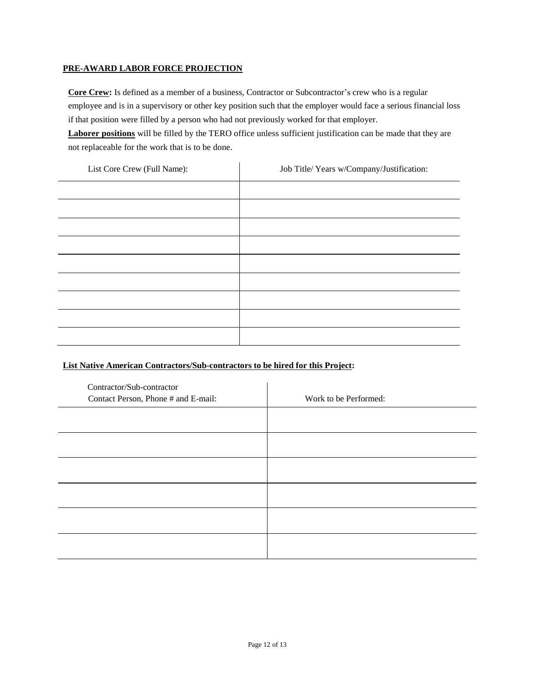## **PRE-AWARD LABOR FORCE PROJECTION**

**Core Crew:** Is defined as a member of a business, Contractor or Subcontractor's crew who is a regular employee and is in a supervisory or other key position such that the employer would face a serious financial loss if that position were filled by a person who had not previously worked for that employer.

**Laborer positions** will be filled by the TERO office unless sufficient justification can be made that they are not replaceable for the work that is to be done.

| List Core Crew (Full Name): | Job Title/ Years w/Company/Justification: |
|-----------------------------|-------------------------------------------|
|                             |                                           |
|                             |                                           |
|                             |                                           |
|                             |                                           |
|                             |                                           |
|                             |                                           |
|                             |                                           |
|                             |                                           |
|                             |                                           |

# **List Native American Contractors/Sub-contractors to be hired for this Project:**

| Contractor/Sub-contractor<br>Contact Person, Phone # and E-mail: | Work to be Performed: |
|------------------------------------------------------------------|-----------------------|
|                                                                  |                       |
|                                                                  |                       |
|                                                                  |                       |
|                                                                  |                       |
|                                                                  |                       |
|                                                                  |                       |